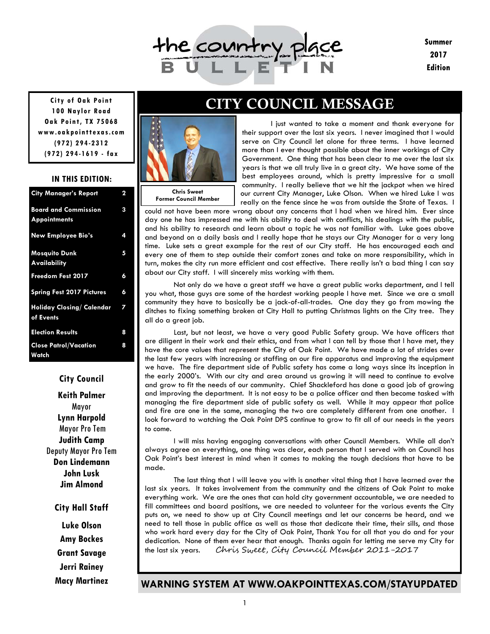**Summer** 2017 **Edition** 

**100 Naylor Road Oak Point, TX 75068 www.oakpointtexas.com (972) 294-2312 (972) 294-1619 - fax**

#### **IN THIS EDITION:**

| <b>City Manager's Report</b>                       | $\mathbf 2$ |
|----------------------------------------------------|-------------|
| <b>Board and Commission</b><br><b>Appointments</b> | 3           |
| <b>New Employee Bio's</b>                          | 4           |
| <b>Mosquito Dunk</b><br>Availability               | 5           |
| Freedom Fest 2017                                  | 6           |
| <b>Spring Fest 2017 Pictures</b>                   | 6           |
| <b>Holiday Closing/ Calendar</b><br>of Events      | 7           |
| <b>Election Results</b>                            | 8           |
| <b>Close Patrol/Vacation</b><br>Watch              | 8           |

#### **City Council**

**Keith Palmer**  Mayor **Lynn Harpold**  Mayor Pro Tem **Judith Camp**  Deputy Mayor Pro Tem **Don Lindemann John Lusk Jim Almond** 

#### **City Hall Staff**

**Luke Olson Amy Bockes Grant Savage Jerri Rainey Macy Martinez** 

### CITY COUNCIL MESSAGE



rhe countr

**Chris Sweet Former Council Member** 

 I just wanted to take a moment and thank everyone for their support over the last six years. I never imagined that I would serve on City Council let alone for three terms. I have learned more than I ever thought possible about the inner workings of City Government. One thing that has been clear to me over the last six years is that we all truly live in a great city. We have some of the best employees around, which is pretty impressive for a small community. I really believe that we hit the jackpot when we hired our current City Manager, Luke Olson. When we hired Luke I was really on the fence since he was from outside the State of Texas. I

could not have been more wrong about any concerns that I had when we hired him. Ever since day one he has impressed me with his ability to deal with conflicts, his dealings with the public, and his ability to research and learn about a topic he was not familiar with. Luke goes above and beyond on a daily basis and I really hope that he stays our City Manager for a very long time. Luke sets a great example for the rest of our City staff. He has encouraged each and every one of them to step outside their comfort zones and take on more responsibility, which in turn, makes the city run more efficient and cost effective. There really isn't a bad thing I can say about our City staff. I will sincerely miss working with them.

 Not only do we have a great staff we have a great public works department, and I tell you what, those guys are some of the hardest working people I have met. Since we are a small community they have to basically be a jack-of-all-trades. One day they go from mowing the ditches to fixing something broken at City Hall to putting Christmas lights on the City tree. They all do a great job.

 Last, but not least, we have a very good Public Safety group. We have officers that are diligent in their work and their ethics, and from what I can tell by those that I have met, they have the core values that represent the City of Oak Point. We have made a lot of strides over the last few years with increasing or staffing on our fire apparatus and improving the equipment we have. The fire department side of Public safety has come a long ways since its inception in the early 2000's. With our city and area around us growing it will need to continue to evolve and grow to fit the needs of our community. Chief Shackleford has done a good job of growing and improving the department. It is not easy to be a police officer and then become tasked with managing the fire department side of public safety as well. While it may appear that police and fire are one in the same, managing the two are completely different from one another. I look forward to watching the Oak Point DPS continue to grow to fit all of our needs in the years to come.

 I will miss having engaging conversations with other Council Members. While all don't always agree on everything, one thing was clear, each person that I served with on Council has Oak Point's best interest in mind when it comes to making the tough decisions that have to be made.

 The last thing that I will leave you with is another vital thing that I have learned over the last six years. It takes involvement from the community and the citizens of Oak Point to make everything work. We are the ones that can hold city government accountable, we are needed to fill committees and board positions, we are needed to volunteer for the various events the City puts on, we need to show up at City Council meetings and let our concerns be heard, and we need to tell those in public office as well as those that dedicate their time, their sills, and those who work hard every day for the City of Oak Point, Thank You for all that you do and for your dedication. None of them ever hear that enough. Thanks again for letting me serve my City for the last six years. Chris Sweet, City Council Member 2011-2017

#### **WARNING SYSTEM AT WWW.OAKPOINTTEXAS.COM/STAYUPDATED**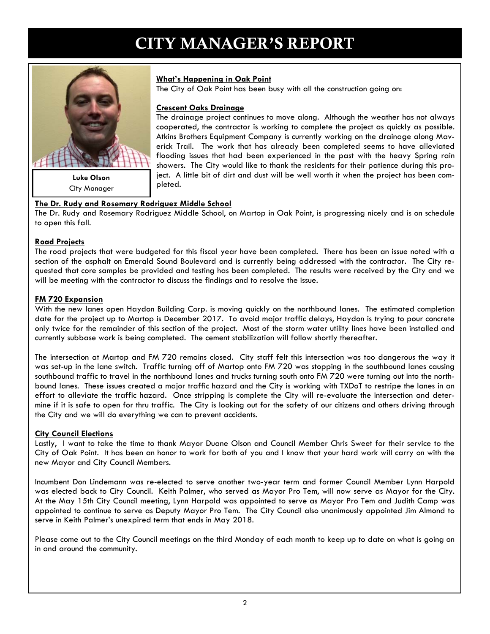## CITY MANAGER'S REPORT



**Luke Olson**  City Manager

#### **What's Happening in Oak Point**

The City of Oak Point has been busy with all the construction going on:

#### **Crescent Oaks Drainage**

The drainage project continues to move along. Although the weather has not always cooperated, the contractor is working to complete the project as quickly as possible. Atkins Brothers Equipment Company is currently working on the drainage along Maverick Trail. The work that has already been completed seems to have alleviated flooding issues that had been experienced in the past with the heavy Spring rain showers. The City would like to thank the residents for their patience during this project. A little bit of dirt and dust will be well worth it when the project has been completed.

#### **The Dr. Rudy and Rosemary Rodriguez Middle School**

The Dr. Rudy and Rosemary Rodriguez Middle School, on Martop in Oak Point, is progressing nicely and is on schedule to open this fall.

#### **Road Projects**

The road projects that were budgeted for this fiscal year have been completed. There has been an issue noted with a section of the asphalt on Emerald Sound Boulevard and is currently being addressed with the contractor. The City requested that core samples be provided and testing has been completed. The results were received by the City and we will be meeting with the contractor to discuss the findings and to resolve the issue.

#### **FM 720 Expansion**

With the new lanes open Haydon Building Corp. is moving quickly on the northbound lanes. The estimated completion date for the project up to Martop is December 2017. To avoid major traffic delays, Haydon is trying to pour concrete only twice for the remainder of this section of the project. Most of the storm water utility lines have been installed and currently subbase work is being completed. The cement stabilization will follow shortly thereafter.

The intersection at Martop and FM 720 remains closed. City staff felt this intersection was too dangerous the way it was set-up in the lane switch. Traffic turning off of Martop onto FM 720 was stopping in the southbound lanes causing southbound traffic to travel in the northbound lanes and trucks turning south onto FM 720 were turning out into the northbound lanes. These issues created a major traffic hazard and the City is working with TXDoT to restripe the lanes in an effort to alleviate the traffic hazard. Once stripping is complete the City will re-evaluate the intersection and determine if it is safe to open for thru traffic. The City is looking out for the safety of our citizens and others driving through the City and we will do everything we can to prevent accidents.

#### **City Council Elections**

Lastly, I want to take the time to thank Mayor Duane Olson and Council Member Chris Sweet for their service to the City of Oak Point. It has been an honor to work for both of you and I know that your hard work will carry on with the new Mayor and City Council Members.

Incumbent Don Lindemann was re-elected to serve another two-year term and former Council Member Lynn Harpold was elected back to City Council. Keith Palmer, who served as Mayor Pro Tem, will now serve as Mayor for the City. At the May 15th City Council meeting, Lynn Harpold was appointed to serve as Mayor Pro Tem and Judith Camp was appointed to continue to serve as Deputy Mayor Pro Tem. The City Council also unanimously appointed Jim Almond to serve in Keith Palmer's unexpired term that ends in May 2018.

Please come out to the City Council meetings on the third Monday of each month to keep up to date on what is going on in and around the community.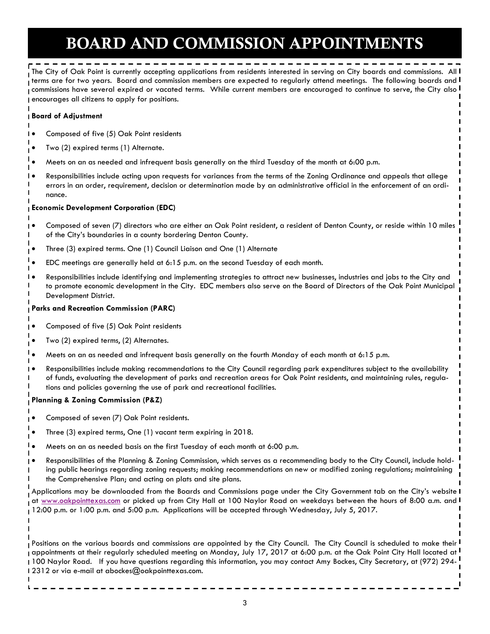# BOARD AND COMMISSION APPOINTMENTS

The City of Oak Point is currently accepting applications from residents interested in serving on City boards and commissions. All I .<br><sub>I</sub> terms are for two years. Board and commission members are expected to regularly attend meetings. The following boards and **I** commissions have several expired or vacated terms. While current members are encouraged to continue to serve, the City also I encourages all citizens to apply for positions.

#### **Board of Adjustment**

- Composed of five (5) Oak Point residents
- Two (2) expired terms (1) Alternate.
- Meets on an as needed and infrequent basis generally on the third Tuesday of the month at 6:00 p.m.
- Responsibilities include acting upon requests for variances from the terms of the Zoning Ordinance and appeals that allege errors in an order, requirement, decision or determination made by an administrative official in the enforcement of an ordinance.

#### **Economic Development Corporation (EDC)**

- Composed of seven (7) directors who are either an Oak Point resident, a resident of Denton County, or reside within 10 miles of the City's boundaries in a county bordering Denton County.
- Three (3) expired terms. One (1) Council Liaison and One (1) Alternate
- EDC meetings are generally held at 6:15 p.m. on the second Tuesday of each month.
- Responsibilities include identifying and implementing strategies to attract new businesses, industries and jobs to the City and to promote economic development in the City. EDC members also serve on the Board of Directors of the Oak Point Municipal Development District.

#### **Parks and Recreation Commission (PARC)**

- Composed of five (5) Oak Point residents
- Two (2) expired terms, (2) Alternates.
- Meets on an as needed and infrequent basis generally on the fourth Monday of each month at 6:15 p.m.
- Responsibilities include making recommendations to the City Council regarding park expenditures subject to the availability of funds, evaluating the development of parks and recreation areas for Oak Point residents, and maintaining rules, regulations and policies governing the use of park and recreational facilities.

#### **Planning & Zoning Commission (P&Z)**

- Composed of seven (7) Oak Point residents.
- Three (3) expired terms, One (1) vacant term expiring in 2018.
- Meets on an as needed basis on the first Tuesday of each month at 6:00 p.m.
- Responsibilities of the Planning & Zoning Commission, which serves as a recommending body to the City Council, include holding public hearings regarding zoning requests; making recommendations on new or modified zoning regulations; maintaining the Comprehensive Plan; and acting on plats and site plans.

Applications may be downloaded from the Boards and Commissions page under the City Government tab on the City's website I at <u>www.oakpointtexas.com</u> or picked up from City Hall at 100 Naylor Road on weekdays between the hours of 8:00 a.m. and l 12:00 p.m. or 1:00 p.m. and 5:00 p.m. Applications will be accepted through Wednesday, July 5, 2017.

Positions on the various boards and commissions are appointed by the City Council. The City Council is scheduled to make their  $\overline{I}$ gappointments at their regularly scheduled meeting on Monday, July 17, 2017 at 6:00 p.m. at the Oak Point City Hall located at <sup>1</sup> 100 Naylor Road. If you have questions regarding this information, you may contact Amy Bockes, City Secretary, at (972) 294- 12312 or via e-mail at abockes@oakpointtexas.com.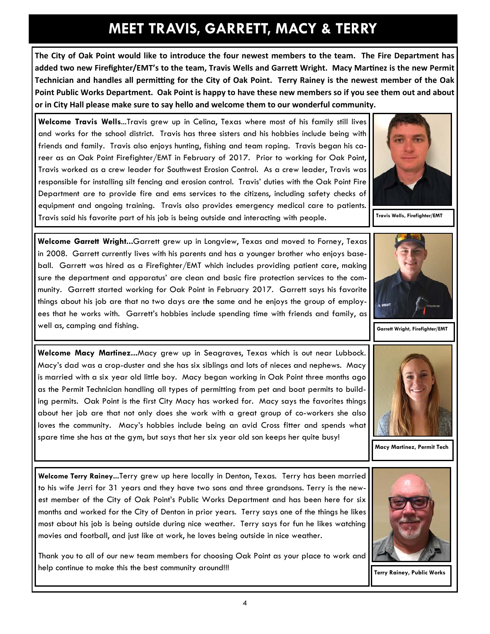### **MEET TRAVIS, GARRETT, MACY & TERRY**

**The City of Oak Point would like to introduce the four newest members to the team. The Fire Department has added two new Firefighter/EMT's to the team, Travis Wells and GarreƩ Wright. Macy MarƟnez is the new Permit Technician and handles all permiƫng for the City of Oak Point. Terry Rainey is the newest member of the Oak Point Public Works Department. Oak Point is happy to have these new members so if you see them out and about or in City Hall please make sure to say hello and welcome them to our wonderful community.** 

**Welcome Travis Wells**...Travis grew up in Celina, Texas where most of his family still lives and works for the school district. Travis has three sisters and his hobbies include being with friends and family. Travis also enjoys hunting, fishing and team roping. Travis began his career as an Oak Point Firefighter/EMT in February of 2017. Prior to working for Oak Point, Travis worked as a crew leader for Southwest Erosion Control. As a crew leader, Travis was responsible for installing silt fencing and erosion control. Travis' duties with the Oak Point Fire Department are to provide fire and ems services to the citizens, including safety checks of equipment and ongoing training. Travis also provides emergency medical care to patients. Travis said his favorite part of his job is being outside and interacting with people.



**Travis Wells, Firefighter/EMT** 

**Welcome Garrett Wright...**Garrett grew up in Longview, Texas and moved to Forney, Texas in 2008. Garrett currently lives with his parents and has a younger brother who enjoys baseball. Garrett was hired as a Firefighter/EMT which includes providing patient care, making sure the department and apparatus' are clean and basic fire protection services to the community. Garrett started working for Oak Point in February 2017. Garrett says his favorite things about his job are that no two days are t**h**e same and he enjoys the group of employees that he works with. Garrett's hobbies include spending time with friends and family, as well as, camping and fishing.

**Welcome Macy Martinez...**Macy grew up in Seagraves, Texas which is out near Lubbock. Macy's dad was a crop-duster and she has six siblings and lots of nieces and nephews. Macy is married with a six year old little boy. Macy began working in Oak Point three months ago as the Permit Technician handling all types of permitting from pet and boat permits to building permits. Oak Point is the first City Macy has worked for. Macy says the favorites things about her job are that not only does she work with a great group of co-workers she also loves the community. Macy's hobbies include being an avid Cross fitter and spends what spare time she has at the gym, but says that her six year old son keeps her quite busy!



**Garrett Wright, Firefighter/EMT** 

**Macy Martinez, Permit Tech** 

**Welcome Terry Rainey...**Terry grew up here locally in Denton, Texas. Terry has been married to his wife Jerri for 31 years and they have two sons and three grandsons. Terry is the newest member of the City of Oak Point's Public Works Department and has been here for six months and worked for the City of Denton in prior years. Terry says one of the things he likes most about his job is being outside during nice weather. Terry says for fun he likes watching movies and football, and just like at work, he loves being outside in nice weather.

Thank you to all of our new team members for choosing Oak Point as your place to work and help continue to make this the best community around!!!



**Terry Rainey, Public Works**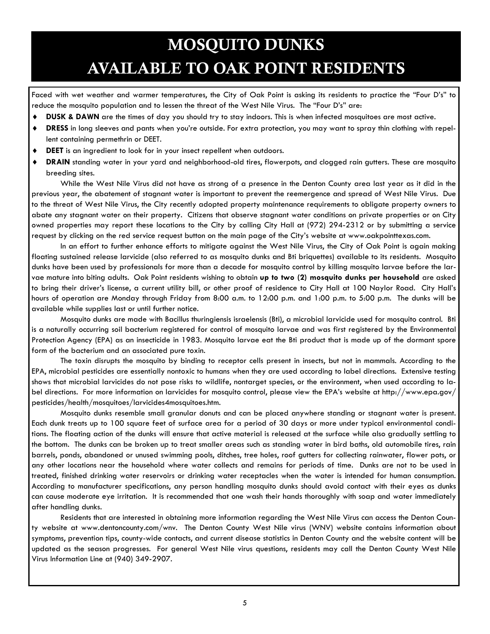# MOSQUITO DUNKS AVAILABLE TO OAK POINT RESIDENTS

Faced with wet weather and warmer temperatures, the City of Oak Point is asking its residents to practice the "Four D's" to reduce the mosquito population and to lessen the threat of the West Nile Virus. The "Four D's" are:

- **DUSK & DAWN** are the times of day you should try to stay indoors. This is when infected mosquitoes are most active.
- **DRESS** in long sleeves and pants when you're outside. For extra protection, you may want to spray thin clothing with repellent containing permethrin or DEET.
- **DEET** is an ingredient to look for in your insect repellent when outdoors.
- **DRAIN** standing water in your yard and neighborhood-old tires, flowerpots, and clogged rain gutters. These are mosquito breeding sites.

 While the West Nile Virus did not have as strong of a presence in the Denton County area last year as it did in the previous year, the abatement of stagnant water is important to prevent the reemergence and spread of West Nile Virus. Due to the threat of West Nile Virus, the City recently adopted property maintenance requirements to obligate property owners to abate any stagnant water on their property. Citizens that observe stagnant water conditions on private properties or on City owned properties may report these locations to the City by calling City Hall at (972) 294-2312 or by submitting a service request by clicking on the red service request button on the main page of the City's website at www.oakpointtexas.com.

In an effort to further enhance efforts to mitigate against the West Nile Virus, the City of Oak Point is again making floating sustained release larvicide (also referred to as mosquito dunks and Bti briquettes) available to its residents. Mosquito dunks have been used by professionals for more than a decade for mosquito control by killing mosquito larvae before the larvae mature into biting adults. Oak Point residents wishing to obtain **up to two (2) mosquito dunks per household** are asked to bring their driver's license, a current utility bill, or other proof of residence to City Hall at 100 Naylor Road. City Hall's hours of operation are Monday through Friday from 8:00 a.m. to 12:00 p.m. and 1:00 p.m. to 5:00 p.m. The dunks will be available while supplies last or until further notice.

 Mosquito dunks are made with Bacillus thuringiensis israelensis (Bti), a microbial larvicide used for mosquito control. Bti is a naturally occurring soil bacterium registered for control of mosquito larvae and was first registered by the Environmental Protection Agency (EPA) as an insecticide in 1983. Mosquito larvae eat the Bti product that is made up of the dormant spore form of the bacterium and an associated pure toxin.

 The toxin disrupts the mosquito by binding to receptor cells present in insects, but not in mammals. According to the EPA, microbial pesticides are essentially nontoxic to humans when they are used according to label directions. Extensive testing shows that microbial larvicides do not pose risks to wildlife, nontarget species, or the environment, when used according to label directions. For more information on larvicides for mosquito control, please view the EPA's website at http://www.epa.gov/ pesticides/health/mosquitoes/larvicides4mosquitoes.htm.

 Mosquito dunks resemble small granular donuts and can be placed anywhere standing or stagnant water is present. Each dunk treats up to 100 square feet of surface area for a period of 30 days or more under typical environmental conditions. The floating action of the dunks will ensure that active material is released at the surface while also gradually settling to the bottom. The dunks can be broken up to treat smaller areas such as standing water in bird baths, old automobile tires, rain barrels, ponds, abandoned or unused swimming pools, ditches, tree holes, roof gutters for collecting rainwater, flower pots, or any other locations near the household where water collects and remains for periods of time. Dunks are not to be used in treated, finished drinking water reservoirs or drinking water receptacles when the water is intended for human consumption. According to manufacturer specifications, any person handling mosquito dunks should avoid contact with their eyes as dunks can cause moderate eye irritation. It is recommended that one wash their hands thoroughly with soap and water immediately after handling dunks.

 Residents that are interested in obtaining more information regarding the West Nile Virus can access the Denton County website at www.dentoncounty.com/wnv. The Denton County West Nile virus (WNV) website contains information about symptoms, prevention tips, county-wide contacts, and current disease statistics in Denton County and the website content will be updated as the season progresses. For general West Nile virus questions, residents may call the Denton County West Nile Virus Information Line at (940) 349-2907.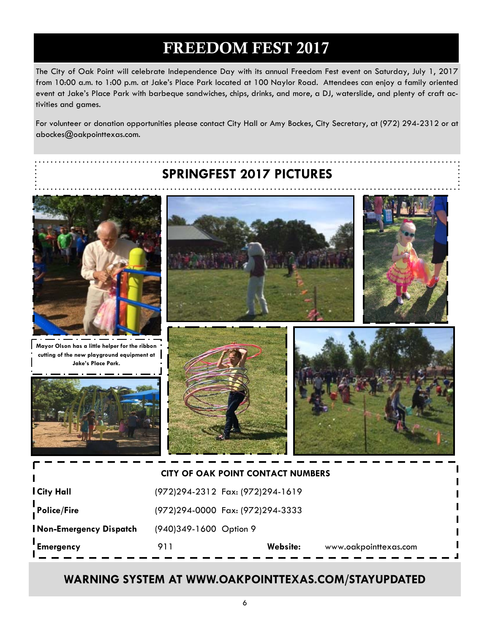## FREEDOM FEST 2017

The City of Oak Point will celebrate Independence Day with its annual Freedom Fest event on Saturday, July 1, 2017 from 10:00 a.m. to 1:00 p.m. at Jake's Place Park located at 100 Naylor Road. Attendees can enjoy a family oriented event at Jake's Place Park with barbeque sandwiches, chips, drinks, and more, a DJ, waterslide, and plenty of craft activities and games.

For volunteer or donation opportunities please contact City Hall or Amy Bockes, City Secretary, at (972) 294-2312 or at abockes@oakpointtexas.com.



### **WARNING SYSTEM AT WWW.OAKPOINTTEXAS.COM/STAYUPDATED**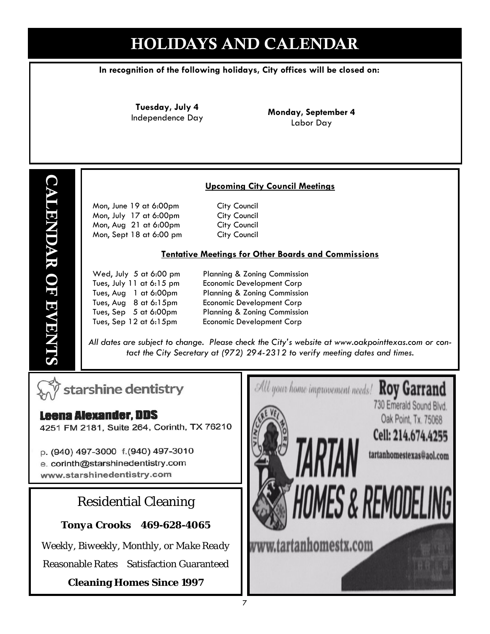# HOLIDAYS AND CALENDAR

### **In recognition of the following holidays, City offices will be closed on:**

**Tuesday, July 4** 

Independence Day **Monday, September 4**  Labor Day

### **Upcoming City Council Meetings**

 Mon, June 19 at 6:00pm City Council Mon, July 17 at 6:00pm City Council Mon, Aug 21 at 6:00pm City Council Mon, Sept 18 at 6:00 pm City Council

#### **Tentative Meetings for Other Boards and Commissions**

Wed, July 5 at 6:00 pm Planning & Zoning Commission

 Tues, July 11 at 6:15 pm Economic Development Corp Tues, Aug 1 at 6:00pm Planning & Zoning Commission Tues, Aug 8 at 6:15pm Economic Development Corp Tues, Sep 5 at 6:00pm Planning & Zoning Commission Tues, Sep 12 at 6:15pm Economic Development Corp

*All dates are subject to change. Please check the City's website at www.oakpointtexas.com or contact the City Secretary at (972) 294-2312 to verify meeting dates and times.*



CALENDAR OF EVENTS

**CALENDAR OF EVENTS** 

**Leena Alexander, DDS** 4251 FM 2181, Suite 264, Corinth, TX 76210

p. (940) 497-3000 f. (940) 497-3010 e. corinth@starshinedentistry.com www.starshinedentistry.com

### Residential Cleaning

*Tonya Crooks 469-628-4065* 

*Weekly, Biweekly, Monthly, or Make Ready*  Reasonable Rates Satisfaction Guaranteed

**Cleaning Homes Since 1997**